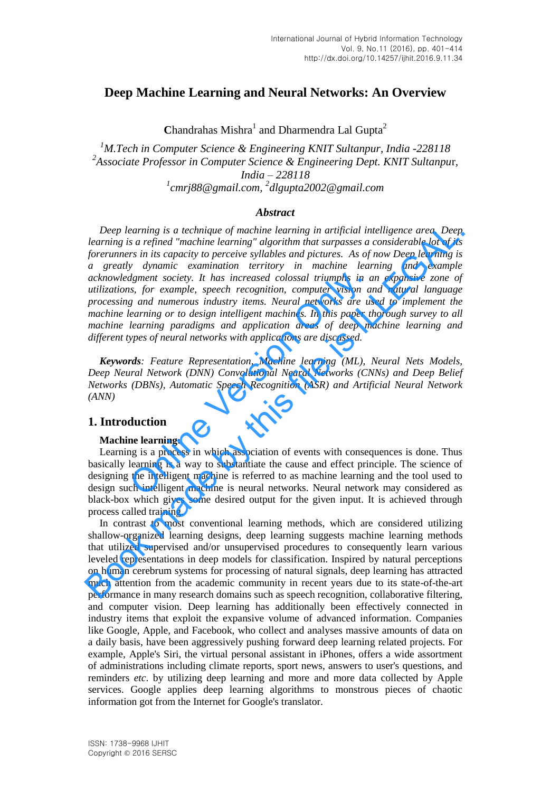# **Deep Machine Learning and Neural Networks: An Overview**

Chandrahas Mishra<sup>1</sup> and Dharmendra Lal Gupta<sup>2</sup>

*M.Tech in Computer Science & Engineering KNIT Sultanpur, India -228118 Associate Professor in Computer Science & Engineering Dept. KNIT Sultanpu*r*, India – 228118 cmrj88@gmail.com, <sup>2</sup> dlgupta2002@gmail.com*

#### *Abstract*

*Deep learning is a technique of machine learning in artificial intelligence area. Deep learning is a refined "machine learning" algorithm that surpasses a considerable lot of its forerunners in its capacity to perceive syllables and pictures. As of now Deep learning is a greatly dynamic examination territory in machine learning and example acknowledgment society. It has increased colossal triumphs in an expansive zone of utilizations, for example, speech recognition, computer vision and natural language processing and numerous industry items. Neural networks are used to implement the machine learning or to design intelligent machines. In this paper thorough survey to all machine learning paradigms and application areas of deep machine learning and different types of neural networks with applications are discussed.* dgment society. It has increased colossal triumphs in a<br>s, for example, speech recognition, computer vision as<br>g and numerous industry items. Neural networks are us<br>learning or to design intelligent machines. In this paper Deep learning is a technique of machine learning in artificial intelligence area. Deep<br>
learning is a refined "machine learning" algorithm that surpasses a considerable lot of its<br>
learned through the standard metric exam

*Keywords: Feature Representation, Machine learning (ML), Neural Nets Models, Deep Neural Network (DNN) Convolutional Neural Networks (CNNs) and Deep Belief Networks (DBNs), Automatic Speech Recognition (ASR) and Artificial Neural Network (ANN)* 

# **1. Introduction**

#### **Machine learning:**

Learning is a process in which association of events with consequences is done. Thus basically learning is a way to substantiate the cause and effect principle. The science of designing the intelligent machine is referred to as machine learning and the tool used to design such intelligent machine is neural networks. Neural network may considered as black-box which gives some desired output for the given input. It is achieved through process called training.

In contrast to most conventional learning methods, which are considered utilizing shallow-organized learning designs, deep learning suggests machine learning methods that utilized supervised and/or unsupervised procedures to consequently learn various leveled representations in deep models for classification. Inspired by natural perceptions on human cerebrum systems for processing of natural signals, deep learning has attracted much attention from the academic community in recent years due to its state-of-the-art performance in many research domains such as speech recognition, collaborative filtering, and computer vision. Deep learning has additionally been effectively connected in industry items that exploit the expansive volume of advanced information. Companies like Google, Apple, and Facebook, who collect and analyses massive amounts of data on a daily basis, have been aggressively pushing forward deep learning related projects. For example, Apple's Siri, the virtual personal assistant in iPhones, offers a wide assortment of administrations including climate reports, sport news, answers to user's questions, and reminders *etc*. by utilizing deep learning and more and more data collected by Apple services. Google applies deep learning algorithms to monstrous pieces of chaotic information got from the Internet for Google's translator.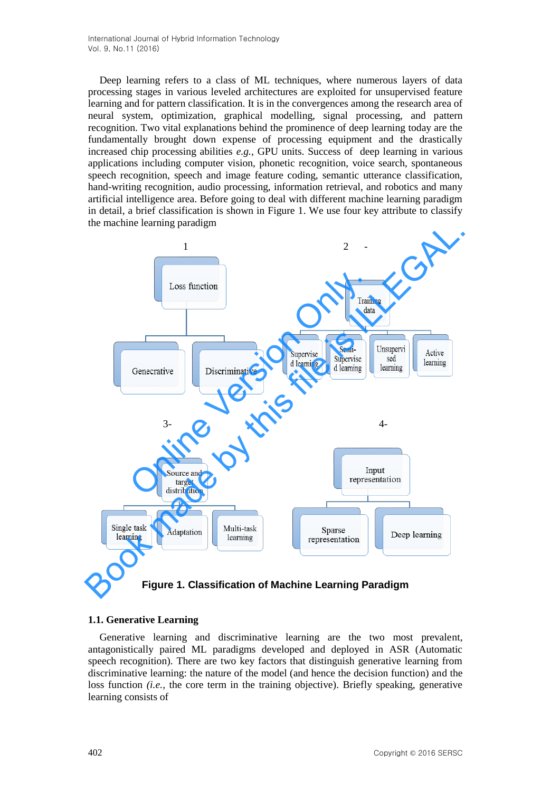Deep learning refers to a class of ML techniques, where numerous layers of data processing stages in various leveled architectures are exploited for unsupervised feature learning and for pattern classification. It is in the convergences among the research area of neural system, optimization, graphical modelling, signal processing, and pattern recognition. Two vital explanations behind the prominence of deep learning today are the fundamentally brought down expense of processing equipment and the drastically increased chip processing abilities *e.g.,* GPU units. Success of deep learning in various applications including computer vision, phonetic recognition, voice search, spontaneous speech recognition, speech and image feature coding, semantic utterance classification, hand-writing recognition, audio processing, information retrieval, and robotics and many artificial intelligence area. Before going to deal with different machine learning paradigm in detail, a brief classification is shown in Figure 1. We use four key attribute to classify the machine learning paradigm



**Figure 1. Classification of Machine Learning Paradigm** 

# **1.1. Generative Learning**

Generative learning and discriminative learning are the two most prevalent, antagonistically paired ML paradigms developed and deployed in ASR (Automatic speech recognition). There are two key factors that distinguish generative learning from discriminative learning: the nature of the model (and hence the decision function) and the loss function *(i.e.,* the core term in the training objective). Briefly speaking, generative learning consists of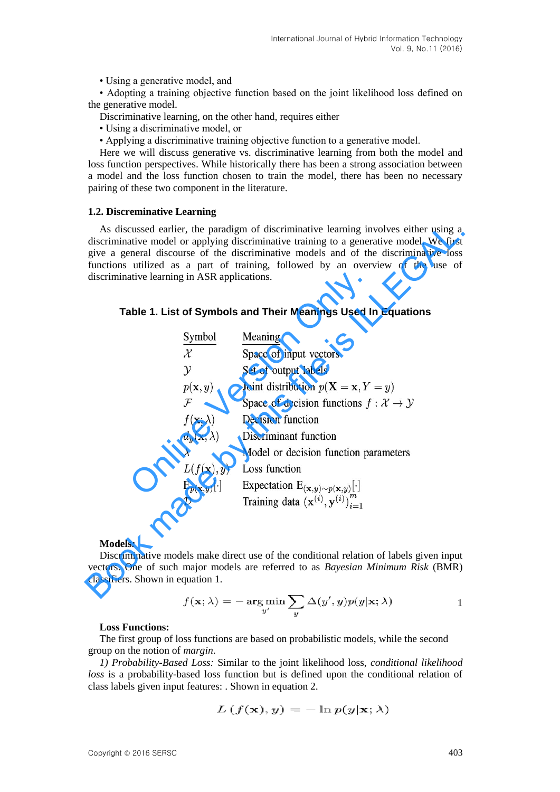• Using a generative model, and

• Adopting a training objective function based on the joint likelihood loss defined on the generative model.

- Discriminative learning, on the other hand, requires either
- Using a discriminative model, or
- Applying a discriminative training objective function to a generative model.

Here we will discuss generative vs. discriminative learning from both the model and loss function perspectives. While historically there has been a strong association between a model and the loss function chosen to train the model, there has been no necessary pairing of these two component in the literature.

#### **1.2. Discreminative Learning**

#### **Table 1. List of Symbols and Their Meanings Used In Equations**

| As discussed earlier, the paradigm of discriminative learning involves either using a<br>discriminative model or applying discriminative training to a generative model. We first<br>give a general discourse of the discriminative models and of the discriminative loss<br>functions utilized as a part of training, followed by an overview of the use of<br>discriminative learning in ASR applications.<br>Table 1. List of Symbols and Their Meanings Used In Equations |                                                                                                                                                                        |
|-------------------------------------------------------------------------------------------------------------------------------------------------------------------------------------------------------------------------------------------------------------------------------------------------------------------------------------------------------------------------------------------------------------------------------------------------------------------------------|------------------------------------------------------------------------------------------------------------------------------------------------------------------------|
| Symbol                                                                                                                                                                                                                                                                                                                                                                                                                                                                        | Meaning                                                                                                                                                                |
| $\mathcal{X}$                                                                                                                                                                                                                                                                                                                                                                                                                                                                 | Space of input vectors                                                                                                                                                 |
| $\mathcal{Y}$                                                                                                                                                                                                                                                                                                                                                                                                                                                                 | Set of output labels                                                                                                                                                   |
| $p(\mathbf{x},y)$                                                                                                                                                                                                                                                                                                                                                                                                                                                             | Joint distribution $p(X = x, Y = y)$                                                                                                                                   |
| $\mathcal F$                                                                                                                                                                                                                                                                                                                                                                                                                                                                  | Space of decision functions $f : \mathcal{X} \to \mathcal{Y}$                                                                                                          |
|                                                                                                                                                                                                                                                                                                                                                                                                                                                                               | $f(\mathbf{x}; \lambda)$ Decision function                                                                                                                             |
|                                                                                                                                                                                                                                                                                                                                                                                                                                                                               | $d_y(\mathbf{x}; \lambda)$ Discriminant function                                                                                                                       |
| $\lambda$                                                                                                                                                                                                                                                                                                                                                                                                                                                                     | Model or decision function parameters                                                                                                                                  |
|                                                                                                                                                                                                                                                                                                                                                                                                                                                                               | $L(f(\mathbf{x}), y)$ Loss function                                                                                                                                    |
|                                                                                                                                                                                                                                                                                                                                                                                                                                                                               |                                                                                                                                                                        |
|                                                                                                                                                                                                                                                                                                                                                                                                                                                                               | $E_{p(\mathbf{x},y)}[\cdot]$ Expectation $E_{(\mathbf{x},y)\sim p(\mathbf{x},y)}[\cdot]$<br>$\mathcal{D}$ Training data $(\mathbf{x}^{(i)}, \mathbf{y}^{(i)})_{i=1}^m$ |
| <b>Models:</b><br>Discriminative models make direct use of the conditional relation of labels given input<br>vectors. One of such major models are referred to as Bayesian Minimum Risk (BMR)<br>classifiers. Shown in equation 1.                                                                                                                                                                                                                                            |                                                                                                                                                                        |
|                                                                                                                                                                                                                                                                                                                                                                                                                                                                               |                                                                                                                                                                        |

#### **Models***:*

$$
f(\mathbf{x}; \lambda) = -\argmin_{y'} \sum_{y} \Delta(y', y) p(y | \mathbf{x}; \lambda)
$$

#### **Loss Functions:**

The first group of loss functions are based on probabilistic models, while the second group on the notion of *margin*.

*1) Probability-Based Loss:* Similar to the joint likelihood loss, *conditional likelihood loss* is a probability-based loss function but is defined upon the conditional relation of class labels given input features: . Shown in equation 2.

$$
L(f(\mathbf{x}), y) = -\ln p(y|\mathbf{x}; \lambda)
$$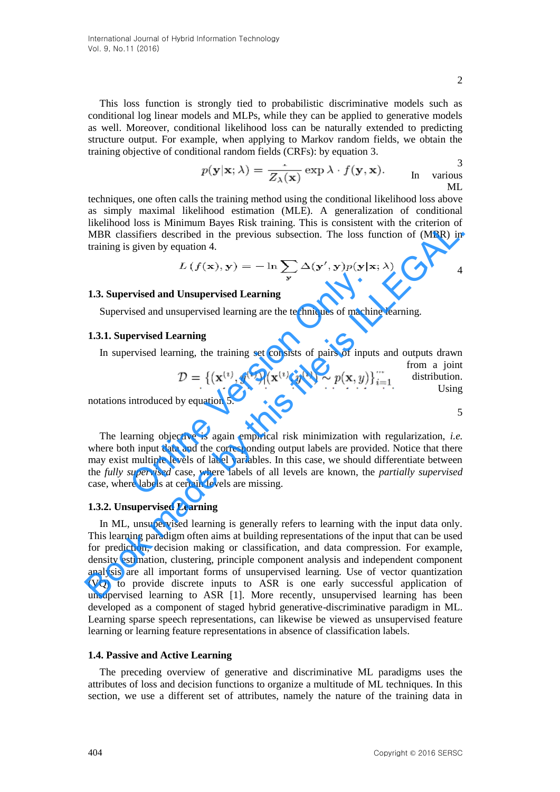$\mathcal{L}$ 

This loss function is strongly tied to probabilistic discriminative models such as conditional log linear models and MLPs, while they can be applied to generative models as well. Moreover, conditional likelihood loss can be naturally extended to predicting structure output. For example, when applying to Markov random fields, we obtain the training objective of conditional random fields (CRFs): by equation 3.

$$
p(\mathbf{y}|\mathbf{x};\lambda) = \frac{1}{Z_{\lambda}(\mathbf{x})} \exp \lambda \cdot f(\mathbf{y}, \mathbf{x}).
$$
 In various  
ML

techniques, one often calls the training method using the conditional likelihood loss above as simply maximal likelihood estimation (MLE). A generalization of conditional likelihood loss is Minimum Bayes Risk training. This is consistent with the criterion of MBR classifiers described in the previous subsection. The loss function of (MBR) in training is given by equation 4.

$$
L(f(\mathbf{x}), \mathbf{y}) = -\ln \sum_{\mathbf{y}} \Delta(\mathbf{y}', \mathbf{y}) p(\mathbf{y} | \mathbf{x}; \lambda)
$$

#### **1.3. Supervised and Unsupervised Learning**

Supervised and unsupervised learning are the techniques of machine learning.

#### **1.3.1. Supervised Learning**

In supervised learning, the training set consists of pairs of inputs and outputs drawn from a joint

$$
\mathcal{D} = \{(\mathbf{x}^{(i)}, y^{(i)}) | (\mathbf{x}^{(i)}, y^{(i)}) \sim p(\mathbf{x}, y)\}_{i=1}^{\infty} \quad \text{distribution.}
$$

notations introduced by equation 5.

The learning objective is again empirical risk minimization with regularization, *i.e.* where both input data and the corresponding output labels are provided. Notice that there may exist multiple levels of label variables. In this case, we should differentiate between the *fully supervised* case, where labels of all levels are known, the *partially supervised*  case, where labels at certain levels are missing. **The Truman Eventify Truman System Controllerity**<br>
Since and unsupervised Learning are the techniques of machine<br>
Dervised Learning<br>
Privised learning, the training set consists of pairs of input<br>  $\mathcal{D} = \{(\mathbf{x}^{(i)}, y^{(i)}$ 

#### **1.3.2. Unsupervised Learning**

In ML, unsupervised learning is generally refers to learning with the input data only. This learning paradigm often aims at building representations of the input that can be used for prediction, decision making or classification, and data compression. For example, density estimation, clustering, principle component analysis and independent component analysis are all important forms of unsupervised learning. Use of vector quantization (VQ) to provide discrete inputs to ASR is one early successful application of unsupervised learning to ASR [1]. More recently, unsupervised learning has been developed as a component of staged hybrid generative-discriminative paradigm in ML. Learning sparse speech representations, can likewise be viewed as unsupervised feature learning or learning feature representations in absence of classification labels. **INTERTION 1088 IS solution and says kask using this bounseline with the three total of MBR) in training is given by equation 4.**<br>  $L(f(\mathbf{x}), \mathbf{y}) = -\ln \sum_{\mathbf{y}} \Delta(\mathbf{y}', \mathbf{y}) p(\mathbf{y} | \mathbf{x}; \lambda)$  4<br> **13. Supervised and Unsuperv** 

#### **1.4. Passive and Active Learning**

The preceding overview of generative and discriminative ML paradigms uses the attributes of loss and decision functions to organize a multitude of ML techniques. In this section, we use a different set of attributes, namely the nature of the training data in

5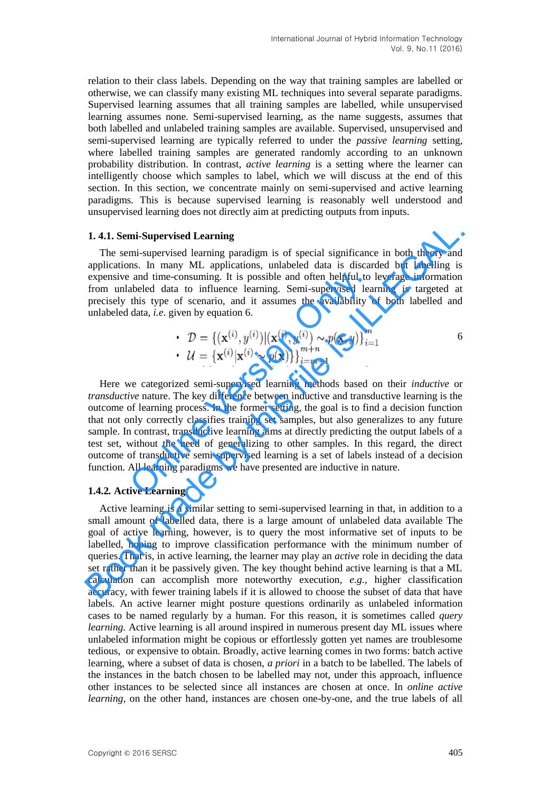relation to their class labels. Depending on the way that training samples are labelled or otherwise, we can classify many existing ML techniques into several separate paradigms. Supervised learning assumes that all training samples are labelled, while unsupervised learning assumes none. Semi-supervised learning, as the name suggests, assumes that both labelled and unlabeled training samples are available. Supervised, unsupervised and semi-supervised learning are typically referred to under the *passive learning* setting, where labelled training samples are generated randomly according to an unknown probability distribution. In contrast, *active learning* is a setting where the learner can intelligently choose which samples to label, which we will discuss at the end of this section. In this section, we concentrate mainly on semi-supervised and active learning paradigms. This is because supervised learning is reasonably well understood and unsupervised learning does not directly aim at predicting outputs from inputs.

#### **1. 4.1. Semi-Supervised Learning**

The semi-supervised learning paradigm is of special significance in both theory and applications. In many ML applications, unlabeled data is discarded but labelling is expensive and time-consuming. It is possible and often helpful to leverage information from unlabeled data to influence learning. Semi-supervised learning is targeted at precisely this type of scenario, and it assumes the availability of both labelled and unlabeled data, *i.e*. given by equation 6.

• 
$$
\mathcal{D} = \{(\mathbf{x}^{(i)}, y^{(i)}) | (\mathbf{x}^{(i)}, y^{(i)}) \sim p(\mathbf{x}, y)\}_{i=1}^m
$$
  
\n•  $\mathcal{U} = \{\mathbf{x}^{(i)} | \mathbf{x}^{(i)} \sim p(\mathbf{x})\}\}_{i=m+1}^{m+n}$ 

Here we categorized semi-supervised learning methods based on their *inductive* or *transductive* nature. The key difference between inductive and transductive learning is the outcome of learning process. In the former setting, the goal is to find a decision function that not only correctly classifies training set samples, but also generalizes to any future sample. In contrast, transductive learning aims at directly predicting the output labels of a test set, without the need of generalizing to other samples. In this regard, the direct outcome of transductive semi-supervised learning is a set of labels instead of a decision function. All learning paradigms we have presented are inductive in nature. and time-consuming. It is possible and often helpful to abeled data to influence learning. Semi-supervised lea<br>this type of scenario, and it assumes the availability of data, *i.e.* given by equation 6.<br> $\mathcal{D} = \{(\mathbf{x}^{(i$ 

#### **1.4.2***.* **Active Learning**

Active learning is a similar setting to semi-supervised learning in that, in addition to a small amount of labelled data, there is a large amount of unlabeled data available The goal of active learning, however, is to query the most informative set of inputs to be labelled, hoping to improve classification performance with the minimum number of queries. That is, in active learning, the learner may play an *active* role in deciding the data set rather than it be passively given. The key thought behind active learning is that a ML calculation can accomplish more noteworthy execution, *e.g.,* higher classification accuracy, with fewer training labels if it is allowed to choose the subset of data that have labels. An active learner might posture questions ordinarily as unlabeled information cases to be named regularly by a human. For this reason, it is sometimes called *query learning*. Active learning is all around inspired in numerous present day ML issues where unlabeled information might be copious or effortlessly gotten yet names are troublesome tedious, or expensive to obtain. Broadly, active learning comes in two forms: batch active learning, where a subset of data is chosen, *a priori* in a batch to be labelled. The labels of the instances in the batch chosen to be labelled may not, under this approach, influence other instances to be selected since all instances are chosen at once. In *online active learning*, on the other hand, instances are chosen one-by-one, and the true labels of all **1. 4.1. Semi-Supervised Learning**<br>
The semi-supervised **Learning**<br>
The semi-supervised learning paradigm is of special significance in both theorly and<br>
expensive and time-consuming. It is possible and often helpful to l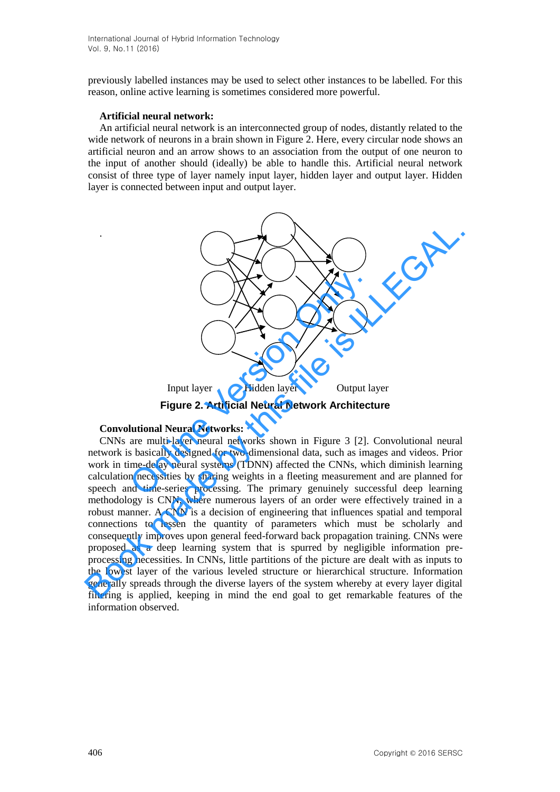previously labelled instances may be used to select other instances to be labelled. For this reason, online active learning is sometimes considered more powerful.

#### **Artificial neural network:**

.

An artificial neural network is an interconnected group of nodes, distantly related to the wide network of neurons in a brain shown in Figure 2. Here, every circular node shows an artificial neuron and an arrow shows to an association from the output of one neuron to the input of another should (ideally) be able to handle this. Artificial neural network consist of three type of layer namely input layer, hidden layer and output layer. Hidden layer is connected between input and output layer.



#### **Convolutional Neural Networks:**

CNNs are multi-layer neural networks shown in Figure 3 [2]. Convolutional neural network is basically designed for two-dimensional data, such as images and videos. Prior work in time-delay neural systems (TDNN) affected the CNNs, which diminish learning calculation necessities by sharing weights in a fleeting measurement and are planned for speech and time-series processing. The primary genuinely successful deep learning methodology is CNN, where numerous layers of an order were effectively trained in a robust manner. A CNN is a decision of engineering that influences spatial and temporal connections to lessen the quantity of parameters which must be scholarly and consequently improves upon general feed-forward back propagation training. CNNs were proposed as a deep learning system that is spurred by negligible information preprocessing necessities. In CNNs, little partitions of the picture are dealt with as inputs to the lowest layer of the various leveled structure or hierarchical structure. Information generally spreads through the diverse layers of the system whereby at every layer digital filtering is applied, keeping in mind the end goal to get remarkable features of the information observed. Input layer<br>
Input layer<br>
Figure 2. Artificial Neural Network Architecture<br>
Convolutional Neural Network Architecture<br>
CNNs are multi-layer neural networks:<br>
CNNs are multi-layer neural networks shown in Figure 3 [2]. Conv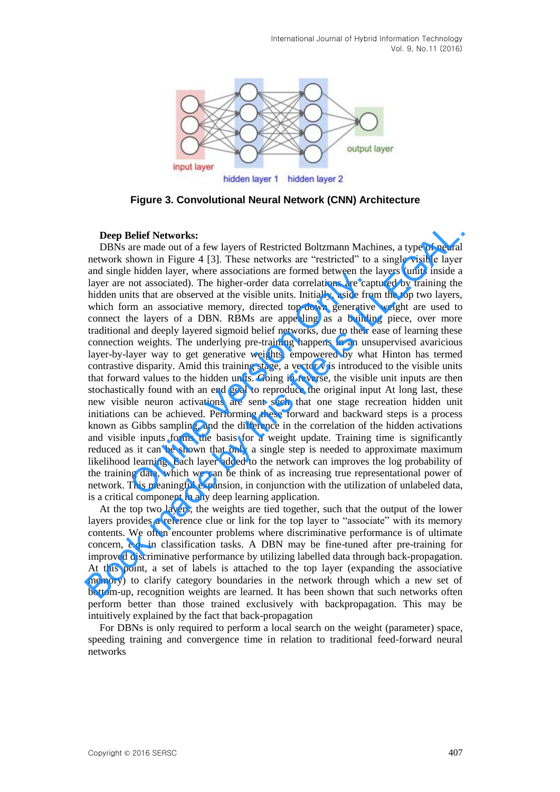

**Figure 3. Convolutional Neural Network (CNN) Architecture** 

#### **Deep Belief Networks:**

DBNs are made out of a few layers of Restricted Boltzmann Machines, a type of neural network shown in Figure 4 [3]. These networks are "restricted" to a single visible layer and single hidden layer, where associations are formed between the layers (units inside a layer are not associated). The higher-order data correlations are captured by training the hidden units that are observed at the visible units. Initially, aside from the top two layers, which form an associative memory, directed top-down generative weight are used to connect the layers of a DBN. RBMs are appealing as a building piece, over more traditional and deeply layered sigmoid belief networks, due to their ease of learning these connection weights. The underlying pre-training happens in an unsupervised avaricious layer-by-layer way to get generative weights, empowered by what Hinton has termed contrastive disparity. Amid this training stage, a vector v is introduced to the visible units that forward values to the hidden units. Going in reverse, the visible unit inputs are then stochastically found with an end goal to reproduce the original input At long last, these new visible neuron activations are sent such that one stage recreation hidden unit initiations can be achieved. Performing these forward and backward steps is a process known as Gibbs sampling, and the difference in the correlation of the hidden activations and visible inputs forms the basis for a weight update. Training time is significantly reduced as it can be shown that only a single step is needed to approximate maximum likelihood learning. Each layer added to the network can improves the log probability of the training data, which we can be think of as increasing true representational power of network. This meaningful expansion, in conjunction with the utilization of unlabeled data, is a critical component in any deep learning application. Induentatively. Where associations are formed between the mot associated). The higher-order data correlations are captis that are observed at the visible units. Initially, aside from an associative memory, directed top-dow **Deep Belief Networks:**<br>DBNs are made out of a few layers of Restricted Bolumann Machines, a type of neural network shown in Figure 4 [3]. These networks are "restricted" to a single visible layer and single hidden layer,

At the top two layers, the weights are tied together, such that the output of the lower layers provides a reference clue or link for the top layer to "associate" with its memory contents. We often encounter problems where discriminative performance is of ultimate concern, *e.g*. in classification tasks. A DBN may be fine-tuned after pre-training for improved discriminative performance by utilizing labelled data through back-propagation. At this point, a set of labels is attached to the top layer (expanding the associative memory) to clarify category boundaries in the network through which a new set of bottom-up, recognition weights are learned. It has been shown that such networks often perform better than those trained exclusively with backpropagation. This may be intuitively explained by the fact that back-propagation

For DBNs is only required to perform a local search on the weight (parameter) space, speeding training and convergence time in relation to traditional feed-forward neural networks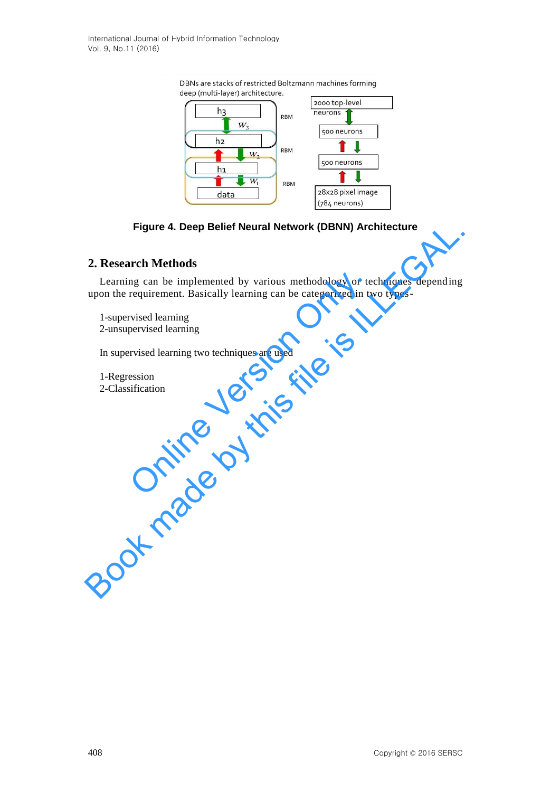

# **Figure 4. Deep Belief Neural Network (DBNN) Architecture**

# **2. Research Methods**

Learning can be implemented by various methodology or techniques depending upon the requirement. Basically learning can be categorized in two typesng can be implemented by various methodology or te<br>requirement. Basically learning can be categorized in tw<br>rvised learning<br>pervised learning<br>rvised learning two techniques are used<br>ession<br>sification Figure 4. Deep Belief Neural Network (DBNN) Architecture<br>2. Research Methods<br>Learning can be implemented by various methodology or techniques depending<br>upon the requirement. Basically learning can be categorized in two typ

1-supervised learning 2-unsupervised learning

In supervised learning two techniques are used

1-Regression 2-Classification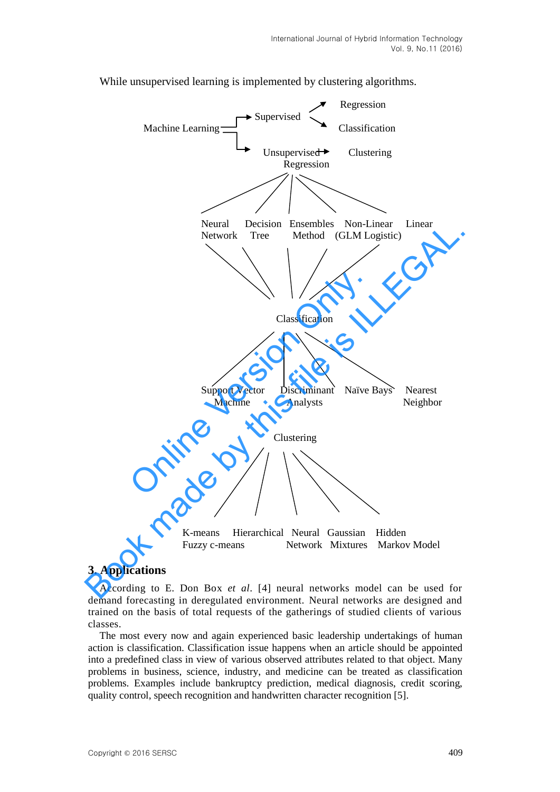

While unsupervised learning is implemented by clustering algorithms.

### **3. Applications**

According to E. Don Box *et al*. [4] neural networks model can be used for demand forecasting in deregulated environment. Neural networks are designed and trained on the basis of total requests of the gatherings of studied clients of various classes.

The most every now and again experienced basic leadership undertakings of human action is classification. Classification issue happens when an article should be appointed into a predefined class in view of various observed attributes related to that object. Many problems in business, science, industry, and medicine can be treated as classification problems. Examples include bankruptcy prediction, medical diagnosis, credit scoring, quality control, speech recognition and handwritten character recognition [5].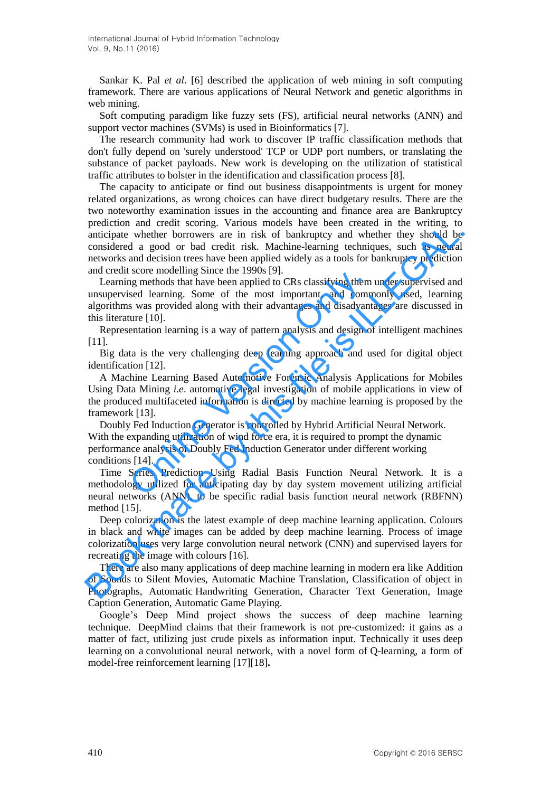Sankar K. Pal *et al*. [6] described the application of web mining in soft computing framework. There are various applications of Neural Network and genetic algorithms in web mining.

Soft computing paradigm like fuzzy sets (FS), artificial neural networks (ANN) and support vector machines (SVMs) is used in Bioinformatics [7].

The research community had work to discover IP traffic classification methods that don't fully depend on 'surely understood' TCP or UDP port numbers, or translating the substance of packet payloads. New work is developing on the utilization of statistical traffic attributes to bolster in the identification and classification process [8].

The capacity to anticipate or find out business disappointments is urgent for money related organizations, as wrong choices can have direct budgetary results. There are the two noteworthy examination issues in the accounting and finance area are Bankruptcy prediction and credit scoring. Various models have been created in the writing, to anticipate whether borrowers are in risk of bankruptcy and whether they should be considered a good or bad credit risk. Machine-learning techniques, such as neural networks and decision trees have been applied widely as a tools for bankruptcy prediction and credit score modelling Since the 1990s [9]. preduction and create states and the strainer of an entirelate in the winture and<br>entirely and whether borrowers are in risk of bankruptcy and whether they should be considered a good or bad credit risk. Machine-learning t

Learning methods that have been applied to CRs classifying them under supervised and unsupervised learning. Some of the most important, and commonly used, learning algorithms was provided along with their advantages and disadvantages are discussed in this literature [10]. scote modering since the 1990s [9].<br>
Sead learning. Some of the most important, and comm<br>
sead learning. Some of the most important, and comm<br>
sead learning. Some of the most important, and comm<br>
swas provided along with t

Representation learning is a way of pattern analysis and design of intelligent machines [11].

Big data is the very challenging deep learning approach and used for digital object identification [12].

A Machine Learning Based Automotive Forensic Analysis Applications for Mobiles Using Data Mining *i.e*. automotive legal investigation of mobile applications in view of the produced multifaceted information is directed by machine learning is proposed by the framework [13].

Doubly Fed Induction Generator is controlled by Hybrid Artificial Neural Network. With the expanding utilization of wind force era, it is required to prompt the dynamic performance analysis of Doubly Fed Induction Generator under different working conditions [14].

Time Series Prediction Using Radial Basis Function Neural Network. It is a methodology utilized for anticipating day by day system movement utilizing artificial neural networks (ANN), to be specific radial basis function neural network (RBFNN) method [15].

Deep colorization is the latest example of deep machine learning application. Colours in black and white images can be added by deep machine learning. Process of image colorization uses very large convolution neural network (CNN) and supervised layers for recreating the image with colours [16].

There are also many applications of deep machine learning in modern era like Addition of Sounds to Silent Movies, Automatic Machine Translation, Classification of object in Photographs, Automatic Handwriting Generation, Character Text Generation, Image Caption Generation, Automatic Game Playing.

Google's Deep Mind project shows the success of deep machine learning technique. DeepMind claims that their framework is not pre-customized: it gains as a matter of fact, utilizing just crude pixels as information input. Technically it uses [deep](https://en.wikipedia.org/wiki/Deep_learning)  [learning](https://en.wikipedia.org/wiki/Deep_learning) on a [convolutional neural network,](https://en.wikipedia.org/wiki/Convolutional_neural_network) with a novel form of [Q-learning,](https://en.wikipedia.org/wiki/Q-learning) a form of model-free [reinforcement learning](https://en.wikipedia.org/wiki/Reinforcement_learning) [17][18]**.**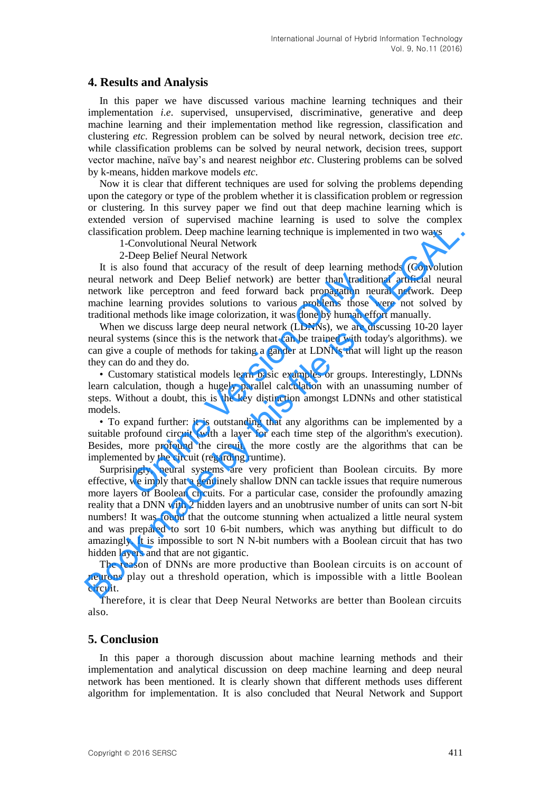### **4. Results and Analysis**

In this paper we have discussed various machine learning techniques and their implementation *i.e*. supervised, unsupervised, discriminative, generative and deep machine learning and their implementation method like regression, classification and clustering *etc*. Regression problem can be solved by neural network, decision tree *etc*. while classification problems can be solved by neural network, decision trees, support vector machine, naïve bay's and nearest neighbor *etc*. Clustering problems can be solved by k-means, hidden markove models *etc*.

Now it is clear that different techniques are used for solving the problems depending upon the category or type of the problem whether it is classification problem or regression or clustering. In this survey paper we find out that deep machine learning which is extended version of supervised machine learning is used to solve the complex classification problem. Deep machine learning technique is implemented in two ways

1-Convolutional Neural Network

2-Deep Belief Neural Network

It is also found that accuracy of the result of deep learning methods (Convolution neural network and Deep Belief network) are better than traditional artificial neural network like perceptron and feed forward back propagation neural network. Deep machine learning provides solutions to various problems those were not solved by traditional methods like image colorization, it was done by human effort manually. twork and Deep Belief network) are better than traditi<br>like perceptron and feed forward back propagation ne<br>learning provides solutions to various problems those<br>l methods like image colorization, it was done by human ef<br>w

When we discuss large deep neural network (LDNNs), we are discussing 10-20 layer neural systems (since this is the network that can be trained with today's algorithms). we can give a couple of methods for taking a gander at LDNNs that will light up the reason they can do and they do.

• Customary statistical models learn basic examples or groups. Interestingly, LDNNs learn calculation, though a hugely parallel calculation with an unassuming number of steps. Without a doubt, this is the key distinction amongst LDNNs and other statistical models.

• To expand further: it is outstanding that any algorithms can be implemented by a suitable profound circuit (with a layer for each time step of the algorithm's execution). Besides, more profound the circuit, the more costly are the algorithms that can be implemented by the circuit (regarding runtime).

Surprisingly, neural systems are very proficient than Boolean circuits. By more effective, we imply that a genuinely shallow DNN can tackle issues that require numerous more layers of Boolean circuits. For a particular case, consider the profoundly amazing reality that a DNN with 2 hidden layers and an unobtrusive number of units can sort N-bit numbers! It was found that the outcome stunning when actualized a little neural system and was prepared to sort 10 6-bit numbers, which was anything but difficult to do amazingly. It is impossible to sort N N-bit numbers with a Boolean circuit that has two hidden layers and that are not gigantic. classification problem. Deep machine learning technique is implemented in two ways<br>
1-Convolution Neural Nework<br>
2-Deep Bolielf Neural Nework<br>
2-Deep Bolielf Neural Nework<br>
2-Deep Bolielf Neural Nework<br>
2-Deep Bolielf Neur

The reason of DNNs are more productive than Boolean circuits is on account of neurons play out a threshold operation, which is impossible with a little Boolean circuit.

Therefore, it is clear that Deep Neural Networks are better than Boolean circuits also.

# **5. Conclusion**

In this paper a thorough discussion about machine learning methods and their implementation and analytical discussion on deep machine learning and deep neural network has been mentioned. It is clearly shown that different methods uses different algorithm for implementation. It is also concluded that Neural Network and Support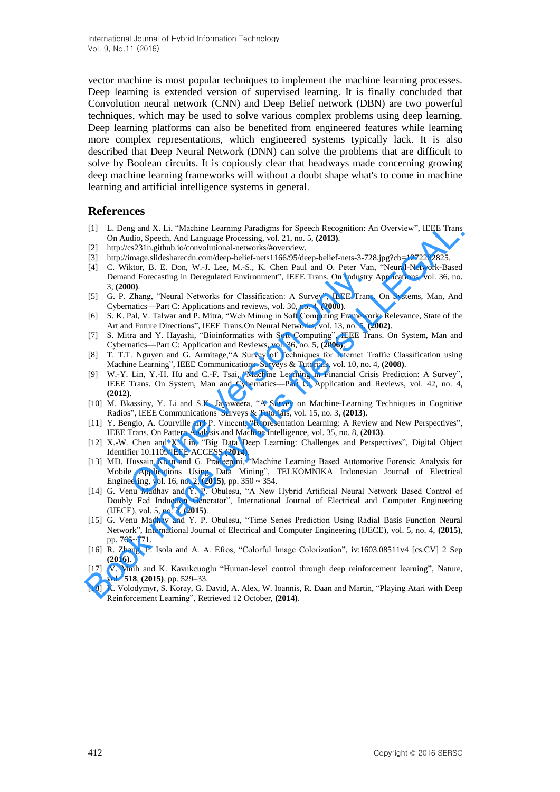vector machine is most popular techniques to implement the machine learning processes. Deep learning is extended version of supervised learning. It is finally concluded that Convolution neural network (CNN) and Deep Belief network (DBN) are two powerful techniques, which may be used to solve various complex problems using deep learning. Deep learning platforms can also be benefited from engineered features while learning more complex representations, which engineered systems typically lack. It is also described that Deep Neural Network (DNN) can solve the problems that are difficult to solve by Boolean circuits. It is copiously clear that headways made concerning growing deep machine learning frameworks will without a doubt shape what's to come in machine learning and artificial intelligence systems in general.

#### **References**

- [1] L. Deng and X. Li, "Machine Learning Paradigms for Speech Recognition: An Overview", IEEE Trans On Audio, Speech, And Language Processing, vol. 21, no. 5, **(2013)**.
- http://cs231n.github.io/convolutional-networks/#overview.
- [3] http://image.slidesharecdn.com/deep-belief-nets1166/95/deep-belief-nets-3-728.jpg?cb=1272282825.
- [4] C. Wiktor, B. E. Don, W.-J. Lee, M.-S., K. Chen Paul and O. Peter Van, "Neural-Network-Based Demand Forecasting in Deregulated Environment", IEEE Trans. On Industry Applications, vol. 36, no. 3, **(2000)**.
- [5] G. P. Zhang, "Neural Networks for Classification: A Survey", IEEE Trans. On Systems, Man, And Cybernatics—Part C: Applications and reviews, vol. 30, no. 4, **(2000)**.
- [6] S. K. Pal, V. Talwar and P. Mitra, "Web Mining in Soft Computing Framework: Relevance, State of the Art and Future Directions", IEEE Trans.On Neural Networks, vol. 13, no. 5, **(2002)**.
- [7] S. Mitra and Y. Hayashi, "Bioinformatics with Soft Computing", IEEE Trans. On System, Man and Cybernatics—Part C: Application and Reviews, vol. 36, no. 5, **(2006)**.
- [8] T. T.T. Nguyen and G. Armitage, "A Survey of Techniques for Internet Traffic Classification using Machine Learning", IEEE Communications Surveys & Tutorials, vol. 10, no. 4, (2008).
- [9] W.-Y. Lin, Y.-H. Hu and C.-F. Tsai, "Machine Learning in Financial Crisis Prediction: A Survey" IEEE Trans. On System, Man and Cybernatics—Part C: Application and Reviews, vol. 42, no. 4, **(2012)**.
- [10] M. Bkassiny, Y. Li and S.K. Jayaweera, "A Survey on Machine-Learning Techniques in Cognitive Radios‖, IEEE Communications Surveys & Tutorials, vol. 15, no. 3, **(2013)**.
- [11] Y. Bengio, A. Courville and P. Vincent, "Representation Learning: A Review and New Perspectives", IEEE Trans. On Pattern Analysis and Machine Intelligence, vol. 35, no. 8, (**2013)**.
- [12] X.-W. Chen and X. Lin, "Big Data Deep Learning: Challenges and Perspectives", Digital Object Identifier 10.1109/IEEE ACCESS **(2014)**.
- [13] MD. Hussain Khan and G. Pradeepini, "Machine Learning Based Automotive Forensic Analysis for Mobile Applications Using Data Mining", TELKOMNIKA Indonesian Journal of Electrical Engineering, vol. 16, no. 2, **(2015)**, pp. 350 ~ 354. nd Forecasting in Deregulated Environment", IEEE Trans. On Industry<br>
20.<br>
20.<br>
22. Enang, "Neural Networks for Classification: A Survey", IEEE Trans<br>
22. Enang, "Neural Networks for Classification: A Survey", IEEE Trans<br>
2
- [14] G. Venu Madhav and Y. P. Obulesu, "A New Hybrid Artificial Neural Network Based Control of Doubly Fed Induction Generator", International Journal of Electrical and Computer Engineering (IJECE), vol. 5, no. 3, **(2015)**. 111 Long and X. Li, "Machim Learning Paradigms for Speech Recognition: An Overview", IEEE Trans On Audio, Speech, And Language Processing, vol. 21. ao. 5. (2013).<br>
12) http://cas. (13) http://cas. (13) http://cas. (13) ht
- [15] G. Venu Madhav and Y. P. Obulesu, "Time Series Prediction Using Radial Basis Function Neural Network‖, International Journal of Electrical and Computer Engineering (IJECE), vol. 5, no. 4, **(2015)**, pp. 765~771.
- [16] R. Zhang, P. Isola and A. A. Efros, "Colorful Image Colorization", iv:1603.08511v4 [cs.CV] 2 Sep **(2016)**.
- [17] V. Mnih and K. Kavukcuoglu "Human-level control through deep reinforcement learning", Nature, vol. **518**, **(2015)**, pp. 529–33.
- [18] K. Volodymyr, S. Koray, G. David, A. Alex, W. Ioannis, R. Daan and Martin, "Playing Atari with Deep Reinforcement Learning", Retrieved 12 October,  $(2014)$ .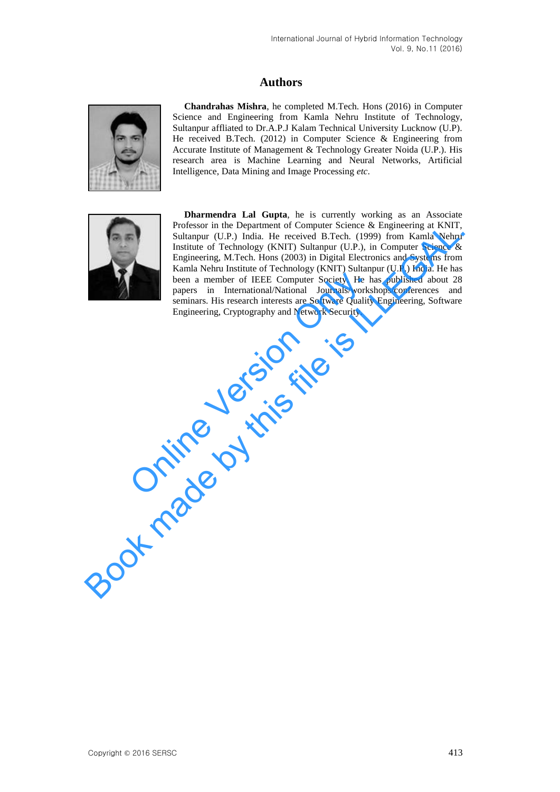# **Authors**



**Chandrahas Mishra**, he completed M.Tech. Hons (2016) in Computer Science and Engineering from Kamla Nehru Institute of Technology, Sultanpur affliated to Dr.A.P.J Kalam Technical University Lucknow (U.P). He received B.Tech. (2012) in Computer Science & Engineering from Accurate Institute of Management & Technology Greater Noida (U.P.). His research area is Machine Learning and Neural Networks, Artificial Intelligence, Data Mining and Image Processing *etc*.



**Dharmendra Lal Gupta**, he is currently working as an Associate Professor in the Department of Computer Science & Engineering at KNIT, Sultanpur (U.P.) India. He received B.Tech. (1999) from Kamla Nehru Institute of Technology (KNIT) Sultanpur (U.P.), in Computer Science & Engineering, M.Tech. Hons (2003) in Digital Electronics and Systems from Kamla Nehru Institute of Technology (KNIT) Sultanpur (U.P.) India. He has been a member of IEEE Computer Society. He has published about 28 papers in International/National Journals/workshops/conferences and seminars. His research interests are Software Quality Engineering, Software Engineering, Cryptography and Network Security. been a member of IEEE Computer Society. He happers in International/National Journals/works<br>seminars. His research interests are Software Quality<br>Engineering, Cryptography and Network Security. Potessor in the Department of Computer Science & Engineering at KNIT, Solutanpur (U.P.) India. He received B.Tech. (1999) from Kamla Nehru Institute of Technology (KNIT) Sultanpur (U.P.), in Computer Science & Engineering.